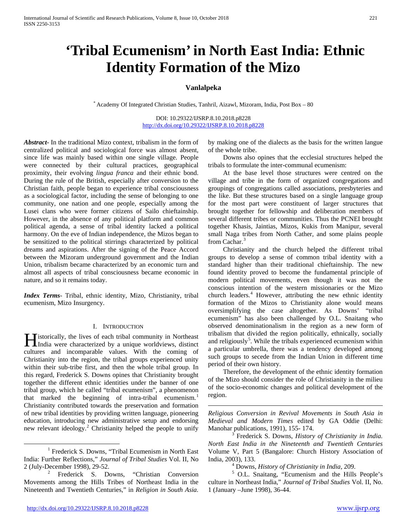# **'Tribal Ecumenism' in North East India: Ethnic Identity Formation of the Mizo**

# **Vanlalpeka**

\* Academy Of Integrated Christian Studies, Tanhril, Aizawl, Mizoram, India, Post Box – 80

DOI: 10.29322/IJSRP.8.10.2018.p8228 <http://dx.doi.org/10.29322/IJSRP.8.10.2018.p8228>

 $\overline{a}$ 

*Abstract***-** In the traditional Mizo context, tribalism in the form of centralized political and sociological force was almost absent, since life was mainly based within one single village. People were connected by their cultural practices, geographical proximity, their evolving *lingua franca* and their ethnic bond. During the rule of the British, especially after conversion to the Christian faith, people began to experience tribal consciousness as a sociological factor, including the sense of belonging to one community, one nation and one people, especially among the Lusei clans who were former citizens of Sailo chieftainship. However, in the absence of any political platform and common political agenda, a sense of tribal identity lacked a political harmony. On the eve of Indian independence, the Mizos began to be sensitized to the political stirrings characterized by political dreams and aspirations. After the signing of the Peace Accord between the Mizoram underground government and the Indian Union, tribalism became characterized by an economic turn and almost all aspects of tribal consciousness became economic in nature, and so it remains today.

*Index Terms*- Tribal, ethnic identity, Mizo, Christianity, tribal ecumenism, Mizo Insurgency.

#### I. INTRODUCTION

<span id="page-0-4"></span>**Tistorically, the lives of each tribal community in Northeast India were characterized by a unique worldviews, distinct** line is a unique worldviews, distinct cultures and incomparable values. With the coming of Christianity into the region, the tribal groups experienced unity within their sub-tribe first, and then the whole tribal group. In this regard, Frederick S. Downs opines that Christianity brought together the different ethnic identities under the banner of one tribal group, which he called "tribal ecumenism", a phenomenon that marked the beginning of intra-tribal ecumenism.<sup>[1](#page-0-0)</sup> Christianity contributed towards the preservation and formation of new tribal identities by providing written language, pioneering education, introducing new administrative setup and endorsing new relevant ideology.<sup>[2](#page-0-1)</sup> Christianity helped the people to unify

by making one of the dialects as the basis for the written langue of the whole tribe.

 Downs also opines that the ecclesial structures helped the tribals to formulate the inter-communal ecumenism:

 At the base level those structures were centred on the village and tribe in the form of organized congregations and groupings of congregations called associations, presbyteries and the like. But these structures based on a single language group for the most part were constituent of larger structures that brought together for fellowship and deliberation members of several different tribes or communities. Thus the PCNEI brought together Khasis, Jaintias, Mizos, Kukis from Manipur, several small Naga tribes from North Cather, and some plains people from Cachar.<sup>[3](#page-0-2)</sup>

 Christianity and the church helped the different tribal groups to develop a sense of common tribal identity with a standard higher than their traditional chieftainship. The new found identity proved to become the fundamental principle of modern political movements, even though it was not the conscious intention of the western missionaries or the Mizo church leaders.<sup>[4](#page-0-3)</sup> However, attributing the new ethnic identity formation of the Mizos to Christianity alone would means oversimplifying the case altogether. As Downs' "tribal ecumenism" has also been challenged by O.L. Snaitang who observed denominationalism in the region as a new form of tribalism that divided the region politically, ethnically, socially and religiously<sup>[5](#page-0-1)</sup>. While the tribals experienced ecumenism within a particular umbrella, there was a tendency developed among such groups to secede from the Indian Union in different time period of their own history.

 Therefore, the development of the ethnic identity formation of the Mizo should consider the role of Christianity in the milieu of the socio-economic changes and political development of the region.

*Religious Conversion in Revival Movements in South Asia in Medieval and Modern Times* edited by GA Oddie (Delhi: Manohar publications, 1991), 155- 174. <sup>3</sup> Frederick S. Downs, *History of Christianity in India.* 

*North East India in the Nineteenth and Twentieth Centuries* Volume V, Part 5 (Bangalore: Church History Association of

India, 2003), 133.<br><sup>4</sup> Downs, *History of Christianity in India*, 209.<br><sup>5</sup> O.L. Snaitang, "Ecumenism and the Hills People's culture in Northeast India," *Journal of Tribal Studies* Vol. II, No. 1 (January –June 1998), 36-44.

<span id="page-0-2"></span><span id="page-0-0"></span><sup>&</sup>lt;sup>1</sup> Frederick S. Downs, "Tribal Ecumenism in North East India: Further Reflections," *Journal of Tribal Studies* Vol. II, No

<span id="page-0-3"></span><span id="page-0-1"></span>Frederick S. Downs, "Christian Conversion Movements among the Hills Tribes of Northeast India in the Nineteenth and Twentieth Centuries," in *Religion in South Asia.*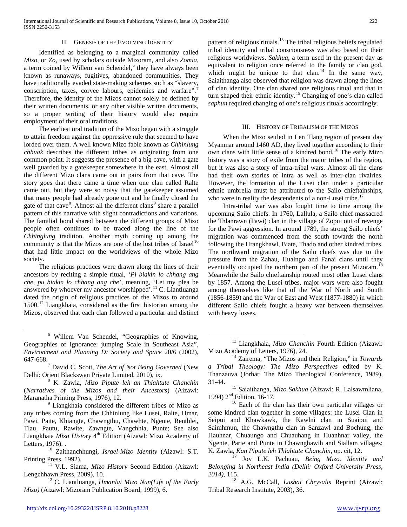International Journal of Scientific and Research Publications, Volume 8, Issue 10, October 2018 222 ISSN 2250-3153

#### II. GENESIS OF THE EVOLVING IDENTITY

 Identified as belonging to a marginal community called *Mizo*, or *Zo*, used by scholars outside Mizoram, and also *Zomia*, a term coined by Willem van Schendel,<sup>[6](#page-0-4)</sup> they have always been known as runaways, fugitives, abandoned communities. They have traditionally evaded state-making schemes such as "slavery, conscription, taxes, corvee labours, epidemics and warfare".<sup>[7](#page-1-0)</sup> Therefore, the identity of the Mizos cannot solely be defined by their written documents, or any other visible written documents, so a proper writing of their history would also require employment of their oral traditions.

 The earliest oral tradition of the Mizo began with a struggle to attain freedom against the oppressive rule that seemed to have lorded over them. A well known Mizo fable known as *Chhinlung chhuak* describes the different tribes as originating from one common point. It suggests the presence of a big cave, with a gate well guarded by a gatekeeper somewhere in the east. Almost all the different Mizo clans came out in pairs from that cave. The story goes that there came a time when one clan called Ralte came out, but they were so noisy that the gatekeeper assumed that many people had already gone out and he finally closed the gate of that cave<sup>[8](#page-1-1)</sup>. Almost all the different clans<sup>[9](#page-1-2)</sup> share a parallel pattern of this narrative with slight contradictions and variations. The familial bond shared between the different groups of Mizo people often continues to be traced along the line of the *Chhinglung* tradition. Another myth coming up among the community is that the Mizos are one of the lost tribes of Israel<sup>[10](#page-1-3)</sup> that had little impact on the worldviews of the whole Mizo society.

<span id="page-1-11"></span> The religious practices were drawn along the lines of their ancestors by reciting a simple ritual, '*Pi biakin lo chhang ang che, pu biakin lo chhang ang che',* meaning, 'Let my plea be answered by whoever my ancestor worshipped'.<sup>[11](#page-1-4)</sup> C. Liantluanga dated the origin of religious practices of the Mizos to around 1500.<sup>[12](#page-1-5)</sup> Liangkhaia, considered as the first historian among the Mizos, observed that each clan followed a particular and distinct

<span id="page-1-9"></span><span id="page-1-2"></span>any tribes coming from the Chhinlung like Lusei, Ralte, Hmar, Pawi, Paite, Khiangte, Chawngthu, Chawhte, Ngente, Renthlei, Tlau, Pautu, Rawite, Zawngte, Vangchhia, Punte; See also Liangkhaia *Mizo History* 4<sup>th</sup> Edition (Aizawl: Mizo Academy of Letters, 1976).

<span id="page-1-3"></span><sup>10</sup> Zaithanchhungi, *Israel-Mizo Identity* (Aizawl: S.T. Printing Press, 1992).

<span id="page-1-10"></span><span id="page-1-4"></span><sup>11</sup> V.L. Siama, *Mizo History* Second Edition (Aizawl: Lengchhawn Press, 2009), 10.<br><sup>12</sup> C. Liantluanga, *Hmanlai Mizo Nun(Life of the Early* 

<span id="page-1-5"></span>*Mizo)* (Aizawl: Mizoram Publication Board, 1999), 6.

pattern of religious rituals.<sup>[13](#page-1-6)</sup> The tribal religious beliefs regulated tribal identity and tribal consciousness was also based on their religious worldviews. *Sakhua*, a term used in the present day as equivalent to religion once referred to the family or clan god, which might be unique to that clan.<sup>[14](#page-1-7)</sup> In the same way, Saiaithanga also observed that religion was drawn along the lines of clan identity. One clan shared one religious ritual and that in turn shaped their ethnic identity.<sup>[15](#page-1-8)</sup> Changing of one's clan called *saphun* required changing of one's religious rituals accordingly.

#### III. HISTORY OF TRIBALISM OF THE MIZOS

 When the Mizo settled in Len Tlang region of present day Myanmar around 1460 AD, they lived together according to their own clans with little sense of a kindred bond.<sup>[16](#page-1-9)</sup> The early Mizo history was a story of exile from the major tribes of the region, but it was also a story of intra-tribal wars. Almost all the clans had their own stories of intra as well as inter-clan rivalries. However, the formation of the Lusei clan under a particular ethnic umbrella must be attributed to the Sailo chieftainships, who were in reality the descendents of a non-Lusei tribe.<sup>[17](#page-1-10)</sup>

 Intra-tribal war was also fought time to time among the upcoming Sailo chiefs. In 1760, Lallula, a Sailo chief massacred the Thlanrawn (Pawi) clan in the village of Zopui out of revenge for the Pawi aggression. In around 1789, the strong Sailo chiefs' migration was commenced from the south towards the north following the Hrangkhawl, Biate, Thado and other kindred tribes. The northward migration of the Sailo chiefs was due to the pressure from the Zahau, Hualngo and Fanai clans until they eventually occupied the northern part of the present Mizoram.<sup>[18](#page-1-5)</sup> Meanwhile the Sailo chieftainship routed most other Lusei clans by 1857. Among the Lusei tribes, major wars were also fought among themselves like that of the War of North and South (1856-1859) and the War of East and West (1877-1880) in which different Sailo chiefs fought a heavy war between themselves with heavy losses.

<sup>13</sup> Liangkhaia, *Mizo Chanchin* Fourth Edition (Aizawl: Mizo Academy of Letters, 1976), 24.

<sup>14</sup> Zairema, "The Mizos and their Religion," in *Towards a Tribal Theology: The Mizo Perspectives* edited by K. Thanzauva (Jorhat: The Mizo Theological Conference, 1989),

31-44. <sup>15</sup> Saiaithanga, *Mizo Sakhua* (Aizawl: R. Lalsawmliana,

 $16$  Each of the clan has their own particular villages or some kindred clan together in some villages: the Lusei Clan in Seipui and Khawkawk, the Kawlni clan in Suaipui and Saimhmun, the Chawngthu clan in Sanzawl and Bochung, the Hauhnar, Chuaungo and Chuauhang in Huanhnar valley, the Ngente, Parte and Punte in Chawnghawih and Siallam villages; K. Zawla, *Kan Pipute leh Thlahtute Chanchin*, op. cit, 12.

<sup>17</sup> Joy L.K. Pachuau, *Being Mizo. Identity and Belonging in Northeast India (Delhi: Oxford University Press, 2014)*, 115. <sup>18</sup> A.G. McCall, *Lushai Chrysalis* Reprint (Aizawl:

Tribal Research Institute, 2003), 36.

<span id="page-1-6"></span> <sup>6</sup> Willem Van Schendel, "Geographies of Knowing, Geographies of Ignorance: jumping Scale in Southeast Asia", *Environment and Planning D: Society and Space* 20/6 (2002),

<span id="page-1-7"></span><span id="page-1-0"></span><sup>647-668. 7</sup> David C. Scott, *The Art of Not Being Governed* (New

<span id="page-1-8"></span><span id="page-1-1"></span><sup>&</sup>lt;sup>8</sup> K. Zawla, *Mizo Pipute leh an Thlahtute Chanchin* (*Narratives of the Mizos and their Ancestors*) (Aizawl: Maranatha Printing Press, 1976), 12.<br><sup>9</sup> Liangkhaia considered the different tribes of Mizo as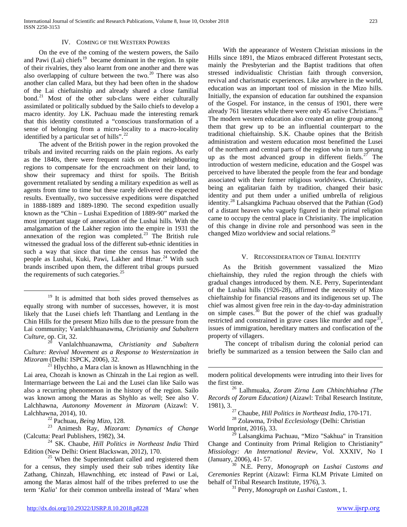#### IV. COMING OF THE WESTERN POWERS

 On the eve of the coming of the western powers, the Sailo and Pawi (Lai) chiefs $19$  became dominant in the region. In spite of their rivalries, they also learnt from one another and there was also overlapping of culture between the two.<sup>[20](#page-2-0)</sup> There was also another clan called Mara, but they had been often in the shadow of the Lai chieftainship and already shared a close familial bond.<sup>[21](#page-2-1)</sup> Most of the other sub-clans were either culturally assimilated or politically subdued by the Sailo chiefs to develop a macro identity. Joy LK. Pachuau made the interesting remark that this identity constituted a "conscious transformation of a sense of belonging from a micro-locality to a macro-locality identified by a particular set of hills".<sup>[22](#page-2-2)</sup>

 The advent of the British power in the region provoked the tribals and invited recurring raids on the plain regions. As early as the 1840s, there were frequent raids on their neighbouring regions to compensate for the encroachment on their land, to show their supremacy and thirst for spoils. The British government retaliated by sending a military expedition as well as agents from time to time but these rarely delivered the expected results. Eventually, two successive expeditions were dispatched in 1888-1889 and 1889-1890. The second expedition usually known as the "Chin – Lushai Expedition of 1889-90" marked the most important stage of annexation of the Lushai hills. With the amalgamation of the Lakher region into the empire in 1931 the annexation of the region was completed.<sup>[23](#page-2-3)</sup> The British rule witnessed the gradual loss of the different sub-ethnic identities in such a way that since that time the census has recorded the people as Lushai, Kuki, Pawi, Lakher and Hmar.<sup>[24](#page-2-4)</sup> With such brands inscribed upon them, the different tribal groups pursued the requirements of such categories.<sup>[25](#page-2-5)</sup>

<sup>19</sup> It is admitted that both sides proved themselves as equally strong with number of successes, however, it is most likely that the Lusei chiefs left Thantlang and Lentlang in the Chin Hills for the present Mizo hills due to the pressure from the Lai community; Vanlalchhuanawma, *Christianity and Subaltern Culture,* op. Cit, 32. 20 Vanlalchhuanawma, *Christianity and Subaltern* 

<span id="page-2-0"></span>*Culture: Revival Movement as a Response to Westernization in Mizoram* (Delhi: ISPCK, 2006), 32.

<span id="page-2-6"></span><span id="page-2-1"></span> $^{21}$  Hlychho, a Mara clan is known as Hlawnchhing in the Lai area, Chozah is known as Chinzah in the Lai region as well. Intermarriage between the Lai and the Lusei clan like Sailo was also a recurring phenomenon in the history of the region. Sailo was known among the Maras as Shyhlo as well; See also V. Lalchhawna, *Autonomy Movement in Mizoram* (Aizawl: V. Lalchhawna, 2014), 10.

<span id="page-2-7"></span><span id="page-2-3"></span><span id="page-2-2"></span><sup>22</sup> Pachuau, *Being Mizo*, 128.<br><sup>23</sup> Animesh Ray, *Mizoram: Dynamics of Change* (Calcutta: Pearl Publishers, 1982), 34.

<span id="page-2-8"></span><span id="page-2-4"></span><sup>24</sup> SK. Chaube, *Hill Politics in Northeast India* Third Edition (New Delhi: Orient Blackswan, 2012), 170.

<span id="page-2-10"></span><span id="page-2-9"></span><span id="page-2-5"></span> $^{25}$  When the Superintendant called and registered them for a census, they simply used their sub tribes identity like Zathang, Chinzah, Hlawnchhing, etc instead of Pawi or Lai, among the Maras almost half of the tribes preferred to use the term '*Kalia*' for their common umbrella instead of 'Mara' when

 With the appearance of Western Christian missions in the Hills since 1891, the Mizos embraced different Protestant sects, mainly the Presbyterian and the Baptist traditions that often stressed individualistic Christian faith through conversion, revival and charismatic experiences. Like anywhere in the world, education was an important tool of mission in the Mizo hills. Initially, the expansion of education far outshined the expansion of the Gospel. For instance, in the census of 1901, there were already 761 literates while there were only 45 native Christians.<sup>[26](#page-2-6)</sup> The modern western education also created an elite group among them that grew up to be an influential counterpart to the traditional chieftainship. S.K. Chaube opines that the British administration and western education most benefitted the Lusei of the northern and central parts of the region who in turn sprung up as the most advanced group in different fields.<sup>[27](#page-2-7)</sup> The introduction of western medicine, education and the Gospel was perceived to have liberated the people from the fear and bondage associated with their former religious worldviews. Christianity, being an egalitarian faith by tradition, changed their basic identity and put them under a unified umbrella of religious identity.[28](#page-2-2) Lalsangkima Pachuau observed that the Pathian (God) of a distant heaven who vaguely figured in their primal religion came to occupy the central place in Christianity. The implication of this change in divine role and personhood was seen in the changed Mizo worldview and social relations.<sup>[29](#page-2-8)</sup>

### V. RECONSIDERATION OF TRIBAL IDENTITY

 As the British government vassalized the Mizo chieftainship, they ruled the region through the chiefs with gradual changes introduced by them. N.E. Perry, Superintendant of the Lushai hills (1926-28), affirmed the necessity of Mizo chieftainship for financial reasons and its indigenous set up. The chief was almost given free rein in the day-to-day administration on simple cases.<sup>[30](#page-2-9)</sup> But the power of the chief was gradually restricted and constrained in grave cases like murder and rape<sup>[31](#page-2-10)</sup>, issues of immigration, hereditary matters and confiscation of the property of villagers.

 The concept of tribalism during the colonial period can briefly be summarized as a tension between the Sailo clan and

modern political developments were intruding into their lives for

<sup>26</sup> Lalhmuaka, *Zoram Zirna Lam Chhinchhiahna (The Records of Zoram Education)* (Aizawl: Tribal Research Institute, 1981), 3. 27 Chaube, *Hill Politics in Northeast India*, 170-171. 28 Zolawma, *Tribal Ecclesiology* (Delhi: Christian

World Imprint, 2016), 33.

<sup>5</sup> Lalsangkima Pachuau, "Mizo "Sakhua" in Transition Change and Continuity from Primal Religion to Christianity" *Missiology: An International Review*, Vol. XXXIV, No I (January, 2006), 41- 57. 30 N.E. Perry, *Monograph on Lushai Customs and* 

*Ceremonies* Reprint (Aizawl: Firma KLM Private Limited on

<sup>31</sup> Perry, *Monograph on Lushai Custom., 1.*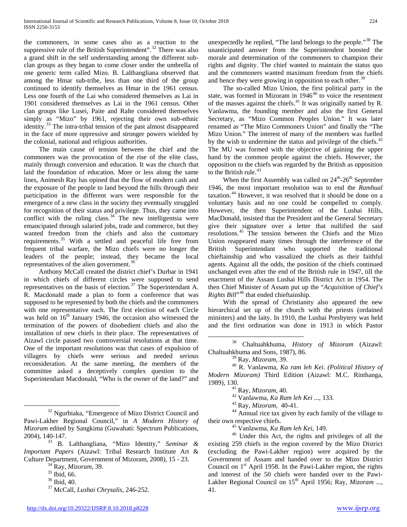the commoners, in some cases also as a reaction to the suppressive rule of the British Superintendent".<sup>[32](#page-2-7)</sup> There was also a grand shift in the self understanding among the different subclan groups as they began to come closer under the umbrella of one generic term called Mizo. B. Lalthangliana observed that among the Hmar sub-tribe, less than one third of the group continued to identify themselves as Hmar in the 1961 census. Less one fourth of the Lai who considered themselves as Lai in 1901 considered themselves as Lai in the 1961 census. Other clan groups like Lusei, Paite and Ralte considered themselves simply as "Mizo" by 1961, rejecting their own sub-ethnic identity.[33](#page-3-0) The intra-tribal tension of the past almost disappeared in the face of more oppressive and stronger powers wielded by the colonial, national and religious authorities.

 The main cause of tension between the chief and the commoners was the provocation of the rise of the elite class, mainly through conversion and education. It was the church that laid the foundation of education. More or less along the same lines, Animesh Ray has opined that the flow of modern cash and the exposure of the people to land beyond the hills through their participation in the different wars were responsible for the emergence of a new class in the society they eventually struggled for recognition of their status and privilege. Thus, they came into conflict with the ruling class.<sup>[34](#page-3-1)</sup> The new intelligentsia were emancipated through salaried jobs, trade and commerce, but they wanted freedom from the chiefs and also the customary requirements.<sup>[35](#page-3-2)</sup> With a settled and peaceful life free from frequent tribal warfare, the Mizo chiefs were no longer the leaders of the people; instead, they became the local representatives of the alien government.<sup>[36](#page-3-3)</sup>

<span id="page-3-14"></span> Anthony McCall created the district chief's Durbar in 1941 in which chiefs of different circles were supposed to send representatives on the basis of election. $37$  The Superintendant A. R. Macdonald made a plan to form a conference that was supposed to be represented by both the chiefs and the commoners with one representative each. The first election of each Circle was held on  $16<sup>th</sup>$  January 1946, the occasion also witnessed the termination of the powers of disobedient chiefs and also the installation of new chiefs in their place. The representatives of Aizawl circle passed two controversial resolutions at that time. One of the important resolutions was that cases of expulsion of villagers by chiefs were serious and needed serious reconsideration. At the same meeting, the members of the committee asked a deceptively complex question to the Superintendant Macdonald, "Who is the owner of the land?" and

 The so-called Mizo Union, the first political party in the state, was formed in Mizoram in  $1946<sup>40</sup>$  $1946<sup>40</sup>$  $1946<sup>40</sup>$  to voice the resentment of the masses against the chiefs.[41](#page-3-8) It was originally named by R. Vanlawma, the founding member and also the first General Secretary, as "Mizo Common Peoples Union." It was later renamed as "The Mizo Commoners Union" and finally the "The Mizo Union." The interest of many of the members was fuelled by the wish to undermine the status and privilege of the chiefs. $42$ The MU was formed with the objective of gaining the upper hand by the common people against the chiefs. However, the opposition to the chiefs was regarded by the British as opposition to the British rule.<sup>[43](#page-3-10)</sup>

When the first Assembly was called on  $24^{\text{th}}$ -26<sup>th</sup> September 1946, the most important resolution was to end the *Ramhual*  taxation.[44](#page-3-11) However, it was resolved that it should be done on a voluntary basis and no one could be compelled to comply. However, the then Superintendent of the Lushai Hills, MacDonald, insisted that the President and the General Secretary give their signature over a letter that nullified the said resolutions.[45](#page-3-12) The tension between the Chiefs and the Mizo Union reappeared many times through the interference of the British Superintendant who supported the traditional chieftainship and who vassalized the chiefs as their faithful agents. Against all the odds, the position of the chiefs continued unchanged even after the end of the British rule in 1947, till the enactment of the Assam Lushai Hills District Act in 1954. The then Chief Minister of Assam put up the "*Acquisition of Chief's Rights Bill*"[46](#page-3-13) that ended chieftainship.

 With the spread of Christianity also appeared the new hierarchical set up of the church with the priests (ordained ministers) and the laity. In 1910, the Lushai Presbytery was held and the first ordination was done in 1913 in which Pastor

 38 Chaltuahkhuma, *History of Mizoram* (Aizawl: Chaltuahkhuma and Sons, 1987), 86.

<sup>39</sup> Ray, *Mizoram*, 39. 40 R. Vanlawma, *Ka ram leh Kei. (Political History of Modern Mizoram)* Third Edition (Aizawl: M.C. Rinthanga,

1989), 130.<br><sup>41</sup> Ray, *Mizoram*, 40.<br><sup>42</sup> Vanlawma, *Ka Ram leh Kei* ..., 133.<br><sup>43</sup> Ray, *Mizoram*, 40-41.<br><sup>44</sup> Annual rice tax given by each family of the village to<br>their own respective chiefs.

<sup>45</sup> Vanlawma, *Ka Ram leh Kei*, 149.<br><sup>46</sup> Under this Act, the rights and privileges of all the existing 259 chiefs in the region covered by the Mizo District (excluding the Pawi-Lakher region) were acquired by the Government of Assam and handed over to the Mizo District Council on  $1<sup>st</sup>$  April 1958. In the Pawi-Lakher region, the rights and interest of the 50 chiefs were handed over to the Pawi-Lakher Regional Council on 15<sup>th</sup> April 1956; Ray, *Mizoram* ..., 41.

<span id="page-3-11"></span><span id="page-3-10"></span><span id="page-3-9"></span><span id="page-3-8"></span><span id="page-3-7"></span><span id="page-3-6"></span><span id="page-3-5"></span> <sup>32</sup> Ngurbiaka, "Emergence of Mizo District Council and Pawi-Lakher Regional Council," in *A Modern History of Mizoram* edited by Sangkima (Guwahati: Spectrum Publications,

<span id="page-3-13"></span><span id="page-3-12"></span><span id="page-3-3"></span><span id="page-3-2"></span><span id="page-3-1"></span><span id="page-3-0"></span><sup>&</sup>lt;sup>33</sup> B. Lalthangliana, "Mizo Identity," *Seminar & Important Papers* (Aizawl: Tribal Research Institute Art & Culture Department, Government of Mizoram, 2008), 15 - 23.<br><sup>34</sup> Ray, *Mizoram*, 39.<br><sup>35</sup> Ibid, 66.<br><sup>36</sup> Ibid, 40.<br><sup>37</sup> McCall, *Lushai Chrysalis*, 246-252.

<span id="page-3-4"></span>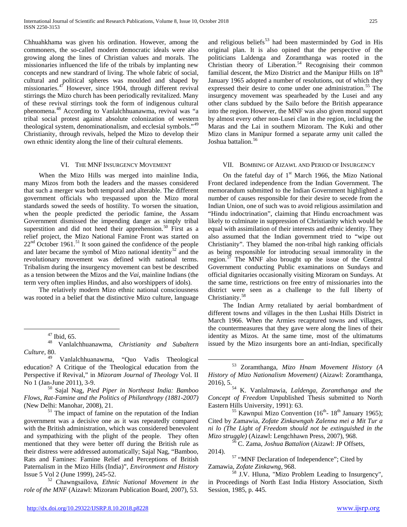Chhuahkhama was given his ordination. However, among the commoners, the so-called modern democratic ideals were also growing along the lines of Christian values and morals. The missionaries influenced the life of the tribals by implanting new concepts and new standrard of living. The whole fabric of social, cultural and political spheres was moulded and shaped by missionaries. $47$  However, since 1904, through different revival stirrings the Mizo church has been periodically revitalized. Many of these revival stirrings took the form of indigenous cultural phenomena.[48](#page-4-0) According to Vanlalchhuanawma, revival was "a tribal social protest against absolute colonization of western theological system, denominationalism, and ecclesial symbols."[49](#page-4-1) Christianity, through revivals, helped the Mizo to develop their own ethnic identity along the line of their cultural elements.

#### VI. THE MNF INSURGENCY MOVEMENT

 When the Mizo Hills was merged into mainline India, many Mizos from both the leaders and the masses considered that such a merger was both temporal and alterable. The different government officials who trespassed upon the Mizo moral standards sowed the seeds of hostility. To worsen the situation, when the people predicted the periodic famine, the Assam Government dismissed the impending danger as simply tribal superstition and did not heed their apprehension.<sup>[50](#page-4-2)</sup> First as a relief project, the Mizo National Famine Front was started on  $22<sup>nd</sup>$  October 1961.<sup>[51](#page-4-3)</sup> It soon gained the confidence of the people and later became the symbol of Mizo national identity<sup>[52](#page-4-4)</sup> and the revolutionary movement was defined with national terms. Tribalism during the insurgency movement can best be described as a tension between the Mizos and the *Vai*, mainline Indians (the term very often implies Hindus, and also worshippers of idols).

 The relatively modern Mizo ethnic national consciousness was rooted in a belief that the distinctive Mizo culture, language

<span id="page-4-9"></span><span id="page-4-2"></span>*Flows, Rat-Famine and the Politics of Philanthropy (1881-2007)* (New Delhi: Manohar, 2008), 21.<br> $51$  The impact of famine on the reputation of the Indian

<span id="page-4-6"></span><span id="page-4-3"></span>government was a decisive one as it was repeatedly compared with the British administration, which was considered benevolent and sympathizing with the plight of the people. They often mentioned that they were better off during the British rule as their distress were addressed automatically; Sajal Nag, "Bamboo, Rats and Famines: Famine Relief and Perceptions of British Paternalism in the Mizo Hills (India)", *Environment and History*

<span id="page-4-8"></span><span id="page-4-7"></span><span id="page-4-4"></span> $\frac{1}{52}$  Chawngsailova, *Ethnic National Movement in the role of the MNF* (Aizawl: Mizoram Publication Board, 2007), 53.

#### VII. BOMBING OF AIZAWL AND PERIOD OF INSURGENCY

On the fateful day of  $1<sup>st</sup>$  March 1966, the Mizo National Front declared independence from the Indian Government. The memorandum submitted to the Indian Government highlighted a number of causes responsible for their desire to secede from the Indian Union, one of such was to avoid religious assimilation and "Hindu indoctrination", claiming that Hindu encroachment was likely to culminate in suppression of Christianity which would be equal with assimilation of their interests and ethnic identity. They also assumed that the Indian government tried to "wipe out Christianity". They blamed the non-tribal high ranking officials as being responsible for introducing sexual immorality in the region.[57](#page-4-7) The MNF also brought up the issue of the Central Government conducting Public examinations on Sundays and official dignitaries occasionally visiting Mizoram on Sundays. At the same time, restrictions on free entry of missionaries into the district were seen as a challenge to the full liberty of Christianity.<sup>[58](#page-4-8)</sup>

 The Indian Army retaliated by aerial bombardment of different towns and villages in the then Lushai Hills District in March 1966. When the Armies recaptured towns and villages, the countermeasures that they gave were along the lines of their identity as Mizos. At the same time, most of the ultimatums issued by the Mizo insurgents bore an anti-Indian, specifically

 $\frac{55}{35}$  Kawnpui Mizo Convention (16<sup>th</sup>- 18<sup>th</sup> January 1965); Cited by Zamawia, *Zofate Zinkawngah Zalenna mei a Mit Tur a ni lo (The Light of Freedom should not be extinguished in the Mizo struggle)* (Aizawl: Lengchhawn Press, 2007), 968.<br><sup>56</sup> C. Zama, *Joshua Battalion* (Aizawl: JP Offsets,

2014). 57 "MNF Declaration of Independence"; Cited by

Zamawia, *Zofate Zinkawng*, 968.<br><sup>58</sup> J.V. Hluna, "Mizo Problem Leading to Insurgency",

in Proceedings of North East India History Association, Sixth Session, 1985, p. 445.

<span id="page-4-0"></span><sup>47</sup> Ibid, 65. 48 Vanlalchhuanawma, *Christianity and Subaltern Culture,* 80.

<span id="page-4-5"></span><span id="page-4-1"></span><sup>49</sup> Vanlalchhuanawma, "Quo Vadis Theological education? A Critique of the Theological education from the Perspective if Revival," in *Mizoram Journal of Theology* Vol. II No 1 (Jan-June 2011), 3-9. <sup>50</sup> Sajal Nag, *Pied Piper in Northeast India: Bamboo* 

and religious beliefs<sup>[53](#page-4-5)</sup> had been masterminded by God in His original plan. It is also opined that the perspective of the politicians Laldenga and Zoramthanga was rooted in the Christian theory of Liberation.<sup>[54](#page-4-2)</sup> Recognising their common familial descent, the Mizo District and the Manipur Hills on  $18<sup>th</sup>$ January 1965 adopted a number of resolutions, out of which they expressed their desire to come under one administration.<sup>[55](#page-4-3)</sup> The insurgency movement was spearheaded by the Lusei and any other clans subdued by the Sailo before the British appearance into the region. However, the MNF was also given moral support by almost every other non-Lusei clan in the region, including the Maras and the Lai in southern Mizoram. The Kuki and other Mizo clans in Manipur formed a separate army unit called the Joshua battalion.<sup>[56](#page-4-6)</sup>

 <sup>53</sup> Zoramthanga*, Mizo Hnam Movement History (A History of Mizo Nationalism Movement)* (Aizawl: Zoramthanga,

<sup>2016), 5. 54</sup> K. Vanlalmawia, *Laldenga, Zoramthanga and the Concept of Freedom* Unpublished Thesis submitted to North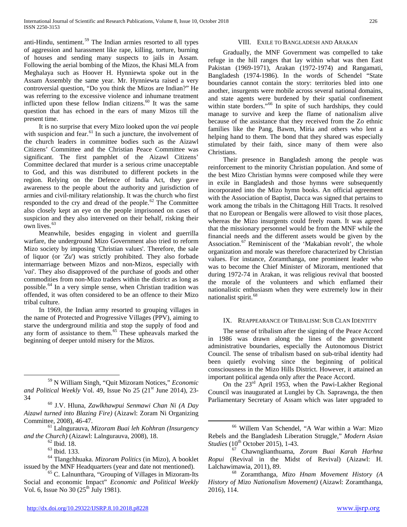anti-Hindu, sentiment.<sup>[59](#page-4-9)</sup> The Indian armies resorted to all types of aggression and harassment like rape, killing, torture, burning of houses and sending many suspects to jails in Assam. Following the aerial bombing of the Mizos, the Khasi MLA from Meghalaya such as Hoover H. Hynniewta spoke out in the Assam Assembly the same year. Mr. Hynniewta raised a very controversial question, "Do you think the Mizos are Indian?" He was referring to the excessive violence and inhumane treatment inflicted upon these fellow Indian citizens.<sup>[60](#page-5-0)</sup> It was the same question that has echoed in the ears of many Mizos till the present time.

 It is no surprise that every Mizo looked upon the *vai* people with suspicion and fear. $61$  In such a juncture, the involvement of the church leaders in committee bodies such as the Aizawl Citizens' Committee and the Christian Peace Committee was significant. The first pamphlet of the Aizawl Citizens' Committee declared that murder is a serious crime unacceptable to God, and this was distributed to different pockets in the region. Relying on the Defence of India Act, they gave awareness to the people about the authority and jurisdiction of armies and civil-military relationship. It was the church who first responded to the cry and dread of the people.<sup>[62](#page-5-2)</sup> The Committee also closely kept an eye on the people imprisoned on cases of suspicion and they also intervened on their behalf, risking their own lives.<sup>[63](#page-5-3)</sup>

 Meanwhile, besides engaging in violent and guerrilla warfare, the underground Mizo Government also tried to reform Mizo society by imposing 'Christian values'. Therefore, the sale of liquor (or '*Zu*') was strictly prohibited. They also forbade intermarriage between Mizos and non-Mizos, especially with '*vai*'. They also disapproved of the purchase of goods and other commodities from non-Mizo traders within the district as long as possible.[64](#page-5-4) In a very simple sense, when Christian tradition was offended, it was often considered to be an offence to their Mizo tribal culture.

<span id="page-5-6"></span> In 1969, the Indian army resorted to grouping villages in the name of Protected and Progressive Villages (PPV), aiming to starve the underground militia and stop the supply of food and any form of assistance to them.<sup>[65](#page-5-5)</sup> These upheavals marked the beginning of deeper untold misery for the Mizos.

# VIII. EXILE TO BANGLADESH AND ARAKAN

 Gradually, the MNF Government was compelled to take refuge in the hill ranges that lay within what was then East Pakistan (1969-1971), Arakan (1972-1974) and Rangamati, Bangladesh (1974-1986). In the words of Schendel "State boundaries cannot contain the story: territories bled into one another, insurgents were mobile across several national domains, and state agents were burdened by their spatial confinement within state borders."<sup>[66](#page-5-1)</sup> In spite of such hardships, they could manage to survive and keep the flame of nationalism alive because of the assistance that they received from the Zo ethnic families like the Pang, Bawm, Miria and others who lent a helping hand to them. The bond that they shared was especially stimulated by their faith, since many of them were also Christians.

 Their presence in Bangladesh among the people was reinforcement to the minority Christian population. And some of the best Mizo Christian hymns were composed while they were in exile in Bangladesh and those hymns were subsequently incorporated into the Mizo hymn books. An official agreement with the Association of Baptist, Dacca was signed that pertains to work among the tribals in the Chittagong Hill Tracts. It resolved that no European or Bengalis were allowed to visit those places, whereas the Mizo insurgents could freely roam. It was agreed that the missionary personnel would be from the MNF while the financial needs and the different assets would be given by the Association.<sup>[67](#page-5-3)</sup> Reminiscent of the 'Makabian revolt', the whole organization and morale was therefore characterized by Christian values. For instance, Zoramthanga, one prominent leader who was to become the Chief Minister of Mizoram, mentioned that during 1972-74 in Arakan, it was religious revival that boosted the morale of the volunteers and which enflamed their nationalistic enthusiasm when they were extremely low in their nationalist spirit.<sup>[68](#page-5-5)</sup>

#### IX. REAPPEARANCE OF TRIBALISM: SUB CLAN IDENTITY

 The sense of tribalism after the signing of the Peace Accord in 1986 was drawn along the lines of the government administrative boundaries, especially the Autonomous District Council. The sense of tribalism based on sub-tribal identity had been quietly evolving since the beginning of political consciousness in the Mizo Hills District. However, it attained an important political agenda only after the Peace Accord.

 On the 23rd April 1953, when the Pawi-Lakher Regional Council was inaugurated at Lunglei by Ch. Saprawnga, the then Parliamentary Secretary of Assam which was later upgraded to

 <sup>59</sup> N William Singh, "Quit Mizoram Notices," *Economic*  and Political Weekly Vol. 49, Issue No 25 (21<sup>st</sup> June 2014), 23-

<span id="page-5-0"></span><sup>34</sup> <sup>60</sup> J.V. Hluna, *Zawlkhawpui Senmawi Chan Ni (A Day Aizawl turned into Blazing Fire)* (Aizawl: Zoram Ni Organizing

<span id="page-5-1"></span><sup>&</sup>lt;sup>61</sup> Lalngurauva, *Mizoram Buai leh Kohhran (Insurgency and the Church)* (Aizawl: Lalngurauva, 2008), 18.

<span id="page-5-4"></span><span id="page-5-3"></span><span id="page-5-2"></span><sup>&</sup>lt;sup>62</sup> Ibid. 18.<br><sup>63</sup> Ibid. 133.<br><sup>64</sup> Tlangchhuaka. *Mizoram Politics* (in Mizo), A booklet issued by the MNF Headquarters (year and date not mentioned).

<span id="page-5-5"></span> $<sup>65</sup>$  C. Lalnunthara, "Grouping of Villages in Mizoram-Its</sup> Social and economic Impact" *Economic and Political Weekly* Vol. 6, Issue No  $30 (25<sup>th</sup>$  July 1981).

 <sup>66</sup> Willem Van Schendel, "A War within a War: Mizo Rebels and the Bangladesh Liberation Struggle," *Modern Asian* 

*Studies* (10th October 2015), 1-43. 67 Chawnglianthuama, *Zoram Buai Karah Harhna Ropui* (Revival in the Midst of Revival) (Aizawl: H. Lalchawimawia, 2011), 89. 68 Zoramthanga*, Mizo Hnam Movement History (A* 

*History of Mizo Nationalism Movement)* (Aizawl: Zoramthanga, 2016), 114.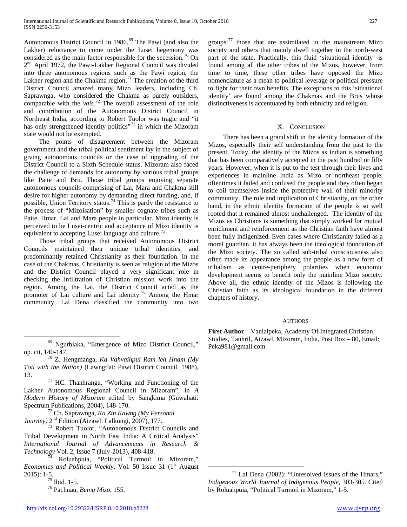Autonomous District Council in 1986.<sup>[69](#page-5-6)</sup> The Pawi (and also the Lakher) reluctance to come under the Lusei hegemony was considered as the main factor responsible for the secession.<sup>[70](#page-6-0)</sup> On 2<sup>nd</sup> April 1972, the Pawi-Lakher Regional Council was divided into three autonomous regions such as the Pawi region, the Lakher region and the Chakma region.<sup>[71](#page-6-1)</sup> The creation of the third District Council amazed many Mizo leaders, including Ch. Saprawnga, who considered the Chakma as purely outsiders, comparable with the *vais*. [72](#page-6-2) The overall assessment of the role and contribution of the Autonomous District Council in Northeast India, according to Robert Tuolor was tragic and "it has only strengthened identity politics"<sup>[73](#page-6-3)</sup> in which the Mizoram state would not be exempted.

 The points of disagreement between the Mizoram government and the tribal political sentiment lay in the subject of giving autonomous councils or the case of upgrading of the District Council to a Sixth Schedule status. Mizoram also faced the challenge of demands for autonomy by various tribal groups like Paite and Bru. Those tribal groups enjoying separate autonomous councils comprising of Lai, Mara and Chakma still desire for higher autonomy by demanding direct funding, and, if possible, Union Territory status.<sup>[74](#page-6-4)</sup> This is partly the resistance to the process of "Mizoisation" by smaller cognate tribes such as Paite, Hmar, Lai and Mara people in particular. Mizo identity is perceived to be Lusei-centric and acceptance of Mizo identity is equivalent to accepting Lusei language and culture.<sup>[75](#page-6-5)</sup>

 Those tribal groups that received Autonomous District Councils maintained their unique tribal identities, and predominantly retained Christianity as their foundation. In the case of the Chakmas, Christianity is seen as religion of the Mizos and the District Council played a very significant role in checking the infiltration of Christian mission work into the region. Among the Lai, the District Council acted as the promoter of Lai culture and Lai identity.[76](#page-6-6) Among the Hmar community, Lal Dena classified the community into two

 $^{69}$  Ngurbiaka, "Emergence of Mizo District Council," op. cit, 140-147.

<span id="page-6-0"></span><sup>70</sup> Z. Hengmanga, *Ka Vahvaihpui Ram leh Hnam (My Toil with the Nation)* (Lawngtlai: Pawi District Council, 1988),

<span id="page-6-1"></span>13.  $13.$   $17<sup>1</sup>$  HC. Thanhranga, "Working and Functioning of the Lakher Autonomous Regional Council in Mizoram", in *A Modern History of Mizoram* edited by Sangkima (Guwahati:

<span id="page-6-2"></span><sup>72</sup> Ch. Saprawnga, *Ka Zin Kawng (My Personal*)

<span id="page-6-3"></span>*Journey*) 2<sup>nd</sup> Edition (Aizawl: Lalkungi, 2007), 177.<br><sup>73</sup> Robert Tuolor, "Autonomous District Councils and Tribal Development in North East India: A Critical Analysis" *International Journal of Advancements in Research & Technology* Vol. 2, Issue 7 (July-2013), 408-418.<br><sup>74</sup> Roluahpuia, "Political Turmoil in Mizoram,"

<span id="page-6-7"></span><span id="page-6-6"></span><span id="page-6-5"></span><span id="page-6-4"></span>*Economics and Political Weekly, Vol. 50 Issue 31 (1<sup>st</sup> August) Econom*<br>2015): 1-5.<br><sup>75</sup> Ibid. 1-5.

<sup>76</sup> Pachuau, *Being Mizo*, 155.

groups: $77$  those that are assimilated in the mainstream Mizo society and others that mainly dwell together in the north-west part of the state. Practically, this fluid 'situational identity' is found among all the other tribes of the Mizos, however, from time to time, these other tribes have opposed the Mizo nomenclature as a mean to political leverage or political pressure to fight for their own benefits. The exceptions to this 'situational identity' are found among the Chakmas and the Brus whose distinctiveness is accentuated by both ethnicity and religion.

# X. CONCLUSION

 There has been a grand shift in the identity formation of the Mizos, especially their self understanding from the past to the present. Today, the identity of the Mizos as Indian is something that has been comparatively accepted in the past hundred or fifty years. However, when it is put to the test through their lives and experiences in mainline India as Mizo or northeast people, oftentimes it failed and confused the people and they often began to coil themselves inside the protective wall of their minority community. The role and implication of Christianity, on the other hand, in the ethnic identity formation of the people is so well rooted that it remained almost unchallenged. The identity of the Mizos as Christians is something that simply worked for mutual enrichment and reinforcement as the Christian faith have almost been fully indigenized. Even cases where Christianity failed as a moral guardian, it has always been the ideological foundation of the Mizo society. The so called sub-tribal consciousness also often made its appearance among the people as a new form of tribalism as centre-periphery polarities when economic development seems to benefit only the mainline Mizo society. Above all, the ethnic identity of the Mizos is following the Christian faith as its ideological foundation in the different chapters of history.

# **AUTHORS**

First Author – Vanlalpeka, Academy Of Integrated Christian Studies, Tanhril, Aizawl, Mizoram, India, Post Box – 80, Email: Peka981@gmail.com

 <sup>77</sup> Lal Dena (2002): "Unresolved Issues of the Hmars," *Indigenous World Journal of Indigenous People*, 303-305. Cited by Roluahpuia, "Political Turmoil in Mizoram," 1-5.